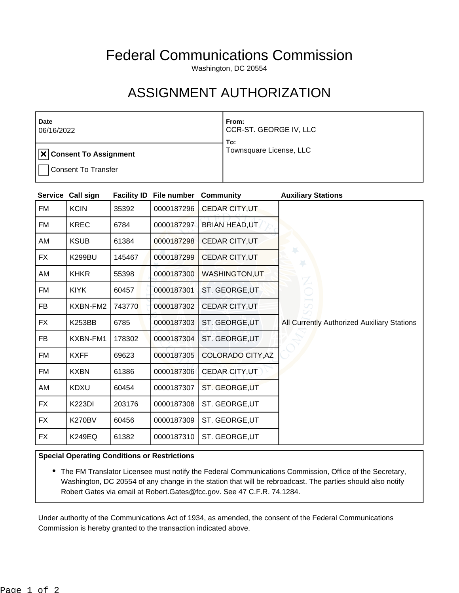## Federal Communications Commission

Washington, DC 20554

## ASSIGNMENT AUTHORIZATION

| <b>Date</b><br>06/16/2022            | From:<br>CCR-ST. GEORGE IV, LLC<br>To: |
|--------------------------------------|----------------------------------------|
| $ \mathbf{x} $ Consent To Assignment | Townsquare License, LLC                |
| <b>Consent To Transfer</b>           |                                        |

| <b>Service</b> | Call sign     | <b>Facility ID</b> | File number | <b>Community</b>      | <b>Auxiliary Stations</b>                   |
|----------------|---------------|--------------------|-------------|-----------------------|---------------------------------------------|
| FM             | <b>KCIN</b>   | 35392              | 0000187296  | <b>CEDAR CITY, UT</b> |                                             |
| FM             | <b>KREC</b>   | 6784               | 0000187297  | <b>BRIAN HEAD, UT</b> |                                             |
| AM             | <b>KSUB</b>   | 61384              | 0000187298  | CEDAR CITY, UT        |                                             |
| <b>FX</b>      | <b>K299BU</b> | 145467             | 0000187299  | CEDAR CITY, UT        |                                             |
| AM             | <b>KHKR</b>   | 55398              | 0000187300  | <b>WASHINGTON,UT</b>  |                                             |
| FM             | <b>KIYK</b>   | 60457              | 0000187301  | ST. GEORGE, UT        |                                             |
| <b>FB</b>      | KXBN-FM2      | 743770             | 0000187302  | CEDAR CITY, UT        |                                             |
| <b>FX</b>      | <b>K253BB</b> | 6785               | 0000187303  | ST. GEORGE, UT        | All Currently Authorized Auxiliary Stations |
| <b>FB</b>      | KXBN-FM1      | 178302             | 0000187304  | ST. GEORGE, UT        |                                             |
| FM             | <b>KXFF</b>   | 69623              | 0000187305  | COLORADO CITY, AZ     |                                             |
| FM             | <b>KXBN</b>   | 61386              | 0000187306  | CEDAR CITY, UT        |                                             |
| AM             | <b>KDXU</b>   | 60454              | 0000187307  | ST. GEORGE, UT        |                                             |
| <b>FX</b>      | <b>K223DI</b> | 203176             | 0000187308  | ST. GEORGE, UT        |                                             |
| <b>FX</b>      | <b>K270BV</b> | 60456              | 0000187309  | ST. GEORGE, UT        |                                             |
| <b>FX</b>      | K249EQ        | 61382              | 0000187310  | ST. GEORGE, UT        |                                             |

## **Special Operating Conditions or Restrictions**

• The FM Translator Licensee must notify the Federal Communications Commission, Office of the Secretary, Washington, DC 20554 of any change in the station that will be rebroadcast. The parties should also notify Robert Gates via email at Robert.Gates@fcc.gov. See 47 C.F.R. 74.1284.

Under authority of the Communications Act of 1934, as amended, the consent of the Federal Communications Commission is hereby granted to the transaction indicated above.